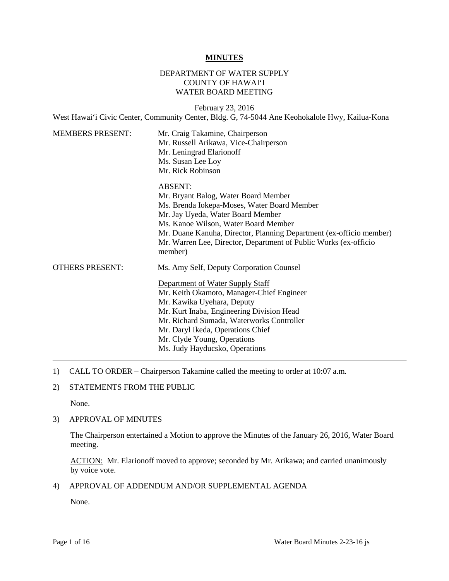#### **MINUTES**

### DEPARTMENT OF WATER SUPPLY COUNTY OF HAWAI'I WATER BOARD MEETING

**MEMBERS PRESENT: OTHERS PRESENT:** February 23, 2016 West Hawai'i Civic Center, Community Center, Bldg. G, 74-5044 Ane Keohokalole Hwy, Kailua-Kona Mr. Craig Takamine, Chairperson Mr. Russell Arikawa, Vice-Chairperson Mr. Leningrad Elarionoff Ms. Susan Lee Loy Mr. Rick Robinson ABSENT: Mr. Bryant Balog, Water Board Member Ms. Brenda Iokepa-Moses, Water Board Member Mr. Jay Uyeda, Water Board Member Ms. Kanoe Wilson, Water Board Member Mr. Duane Kanuha, Director, Planning Department (ex-officio member) Mr. Warren Lee, Director, Department of Public Works (ex-officio member) Ms. Amy Self, Deputy Corporation Counsel Department of Water Supply Staff Mr. Keith Okamoto, Manager-Chief Engineer Mr. Kawika Uyehara, Deputy Mr. Kurt Inaba, Engineering Division Head Mr. Richard Sumada, Waterworks Controller Mr. Daryl Ikeda, Operations Chief Mr. Clyde Young, Operations Ms. Judy Hayducsko, Operations

- 1) CALL TO ORDER Chairperson Takamine called the meeting to order at 10:07 a.m.
- 2) STATEMENTS FROM THE PUBLIC

None.

#### 3) APPROVAL OF MINUTES

 The Chairperson entertained a Motion to approve the Minutes of the January 26, 2016, Water Board meeting.

ACTION: Mr. Elarionoff moved to approve; seconded by Mr. Arikawa; and carried unanimously by voice vote.

4) APPROVAL OF ADDENDUM AND/OR SUPPLEMENTAL AGENDA

None.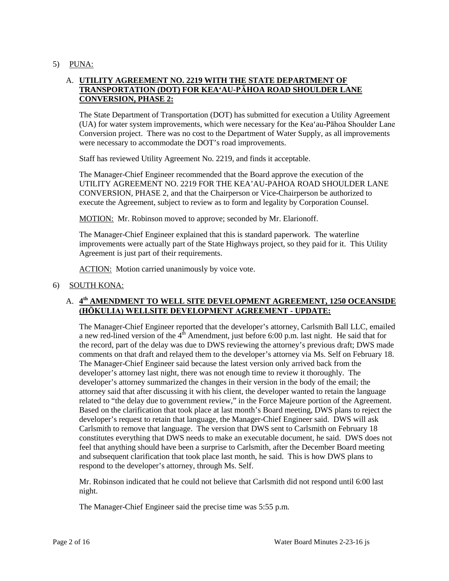5) PUNA:

# A. **UTILITY AGREEMENT NO. 2219 WITH THE STATE DEPARTMENT OF TRANSPORTATION (DOT) FOR KEA'AU-PĀHOA ROAD SHOULDER LANE CONVERSION, PHASE 2:**

 Conversion project. There was no cost to the Department of Water Supply, as all improvements The State Department of Transportation (DOT) has submitted for execution a Utility Agreement (UA) for water system improvements, which were necessary for the Kea'au-Pāhoa Shoulder Lane were necessary to accommodate the DOT's road improvements.

Staff has reviewed Utility Agreement No. 2219, and finds it acceptable.

 The Manager-Chief Engineer recommended that the Board approve the execution of the UTILITY AGREEMENT NO. 2219 FOR THE KEA'AU-PAHOA ROAD SHOULDER LANE CONVERSION, PHASE 2, and that the Chairperson or Vice-Chairperson be authorized to execute the Agreement, subject to review as to form and legality by Corporation Counsel.

MOTION: Mr. Robinson moved to approve; seconded by Mr. Elarionoff.

 improvements were actually part of the State Highways project, so they paid for it. This Utility Agreement is just part of their requirements. The Manager-Chief Engineer explained that this is standard paperwork. The waterline

ACTION: Motion carried unanimously by voice vote.

#### 6) SOUTH KONA:

# A. **4th AMENDMENT TO WELL SITE DEVELOPMENT AGREEMENT, 1250 OCEANSIDE (HŌKULIA) WELLSITE DEVELOPMENT AGREEMENT - UPDATE:**

a new red-lined version of the  $4<sup>th</sup>$  Amendment, just before 6:00 p.m. last night. He said that for developer's attorney last night, there was not enough time to review it thoroughly. The developer's attorney summarized the changes in their version in the body of the email; the attorney said that after discussing it with his client, the developer wanted to retain the language related to "the delay due to government review," in the Force Majeure portion of the Agreement. constitutes everything that DWS needs to make an executable document, he said. DWS does not The Manager-Chief Engineer reported that the developer's attorney, Carlsmith Ball LLC, emailed the record, part of the delay was due to DWS reviewing the attorney's previous draft; DWS made comments on that draft and relayed them to the developer's attorney via Ms. Self on February 18. The Manager-Chief Engineer said because the latest version only arrived back from the Based on the clarification that took place at last month's Board meeting, DWS plans to reject the developer's request to retain that language, the Manager-Chief Engineer said. DWS will ask Carlsmith to remove that language. The version that DWS sent to Carlsmith on February 18 feel that anything should have been a surprise to Carlsmith, after the December Board meeting and subsequent clarification that took place last month, he said. This is how DWS plans to respond to the developer's attorney, through Ms. Self.

Mr. Robinson indicated that he could not believe that Carlsmith did not respond until 6:00 last night.

The Manager-Chief Engineer said the precise time was 5:55 p.m.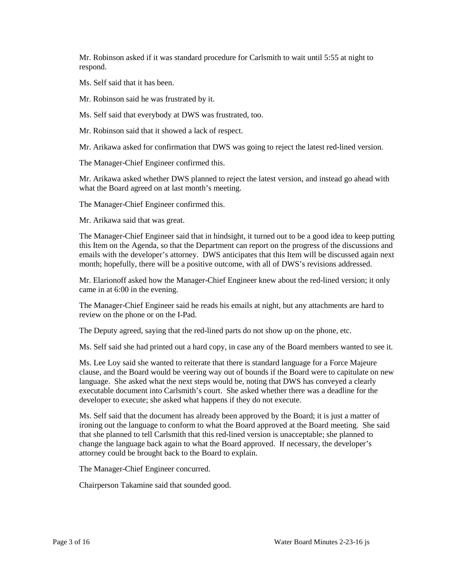Mr. Robinson asked if it was standard procedure for Carlsmith to wait until 5:55 at night to respond.

Ms. Self said that it has been.

Mr. Robinson said he was frustrated by it.

Ms. Self said that everybody at DWS was frustrated, too.

Mr. Robinson said that it showed a lack of respect.

Mr. Arikawa asked for confirmation that DWS was going to reject the latest red-lined version.

The Manager-Chief Engineer confirmed this.

 Mr. Arikawa asked whether DWS planned to reject the latest version, and instead go ahead with what the Board agreed on at last month's meeting.

The Manager-Chief Engineer confirmed this.

Mr. Arikawa said that was great.

 emails with the developer's attorney. DWS anticipates that this Item will be discussed again next The Manager-Chief Engineer said that in hindsight, it turned out to be a good idea to keep putting this Item on the Agenda, so that the Department can report on the progress of the discussions and month; hopefully, there will be a positive outcome, with all of DWS's revisions addressed.

 Mr. Elarionoff asked how the Manager-Chief Engineer knew about the red-lined version; it only came in at 6:00 in the evening.

 The Manager-Chief Engineer said he reads his emails at night, but any attachments are hard to review on the phone or on the I-Pad.

The Deputy agreed, saying that the red-lined parts do not show up on the phone, etc.

Ms. Self said she had printed out a hard copy, in case any of the Board members wanted to see it.

 clause, and the Board would be veering way out of bounds if the Board were to capitulate on new Ms. Lee Loy said she wanted to reiterate that there is standard language for a Force Majeure language. She asked what the next steps would be, noting that DWS has conveyed a clearly executable document into Carlsmith's court. She asked whether there was a deadline for the developer to execute; she asked what happens if they do not execute.

 Ms. Self said that the document has already been approved by the Board; it is just a matter of ironing out the language to conform to what the Board approved at the Board meeting. She said that she planned to tell Carlsmith that this red-lined version is unacceptable; she planned to change the language back again to what the Board approved. If necessary, the developer's attorney could be brought back to the Board to explain.

The Manager-Chief Engineer concurred.

Chairperson Takamine said that sounded good.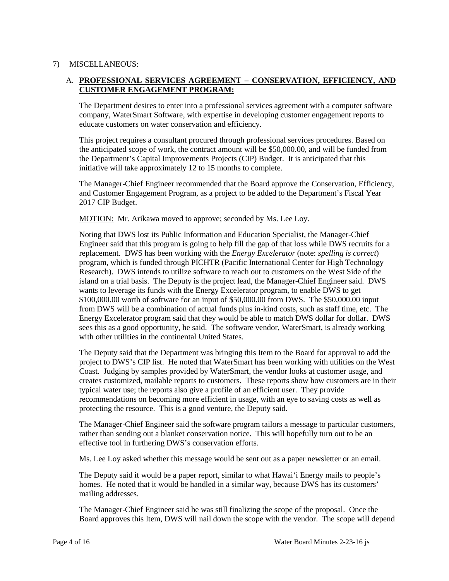# 7) MISCELLANEOUS:

# A. **PROFESSIONAL SERVICES AGREEMENT – CONSERVATION, EFFICIENCY, AND CUSTOMER ENGAGEMENT PROGRAM:**

 The Department desires to enter into a professional services agreement with a computer software company, WaterSmart Software, with expertise in developing customer engagement reports to educate customers on water conservation and efficiency.

 the anticipated scope of work, the contract amount will be \$50,000.00, and will be funded from initiative will take approximately 12 to 15 months to complete. This project requires a consultant procured through professional services procedures. Based on the Department's Capital Improvements Projects (CIP) Budget. It is anticipated that this

 and Customer Engagement Program, as a project to be added to the Department's Fiscal Year The Manager-Chief Engineer recommended that the Board approve the Conservation, Efficiency, 2017 CIP Budget.

MOTION: Mr. Arikawa moved to approve; seconded by Ms. Lee Loy.

 Noting that DWS lost its Public Information and Education Specialist, the Manager-Chief Engineer said that this program is going to help fill the gap of that loss while DWS recruits for a replacement. DWS has been working with the *Energy Excelerator* (note: *spelling is correct*) Research). DWS intends to utilize software to reach out to customers on the West Side of the island on a trial basis. The Deputy is the project lead, the Manager-Chief Engineer said. DWS wants to leverage its funds with the Energy Excelerator program, to enable DWS to get \$100,000.00 worth of software for an input of \$50,000.00 from DWS. The \$50,000.00 input from DWS will be a combination of actual funds plus in-kind costs, such as staff time, etc. The sees this as a good opportunity, he said. The software vendor, WaterSmart, is already working program, which is funded through PICHTR (Pacific International Center for High Technology Energy Excelerator program said that they would be able to match DWS dollar for dollar. DWS with other utilities in the continental United States.

 project to DWS's CIP list. He noted that WaterSmart has been working with utilities on the West Coast. Judging by samples provided by WaterSmart, the vendor looks at customer usage, and creates customized, mailable reports to customers. These reports show how customers are in their The Deputy said that the Department was bringing this Item to the Board for approval to add the typical water use; the reports also give a profile of an efficient user. They provide recommendations on becoming more efficient in usage, with an eye to saving costs as well as protecting the resource. This is a good venture, the Deputy said.

The Manager-Chief Engineer said the software program tailors a message to particular customers, rather than sending out a blanket conservation notice. This will hopefully turn out to be an effective tool in furthering DWS's conservation efforts.

Ms. Lee Loy asked whether this message would be sent out as a paper newsletter or an email.

 The Deputy said it would be a paper report, similar to what Hawai'i Energy mails to people's homes. He noted that it would be handled in a similar way, because DWS has its customers' mailing addresses.

 The Manager-Chief Engineer said he was still finalizing the scope of the proposal. Once the Board approves this Item, DWS will nail down the scope with the vendor. The scope will depend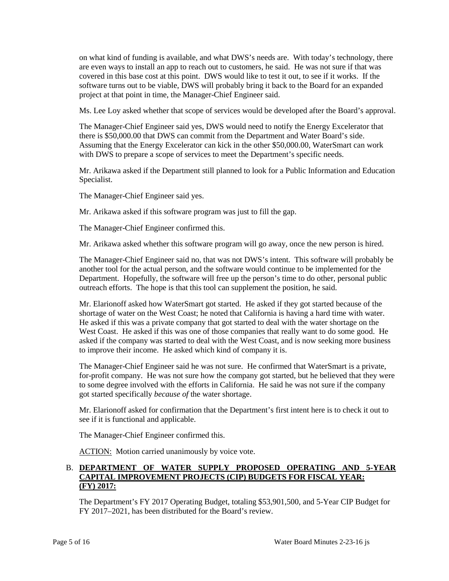on what kind of funding is available, and what DWS's needs are. With today's technology, there are even ways to install an app to reach out to customers, he said. He was not sure if that was covered in this base cost at this point. DWS would like to test it out, to see if it works. If the software turns out to be viable, DWS will probably bring it back to the Board for an expanded project at that point in time, the Manager-Chief Engineer said.

Ms. Lee Loy asked whether that scope of services would be developed after the Board's approval.

 Assuming that the Energy Excelerator can kick in the other \$50,000.00, WaterSmart can work The Manager-Chief Engineer said yes, DWS would need to notify the Energy Excelerator that there is \$50,000.00 that DWS can commit from the Department and Water Board's side. with DWS to prepare a scope of services to meet the Department's specific needs.

Mr. Arikawa asked if the Department still planned to look for a Public Information and Education Specialist.

The Manager-Chief Engineer said yes.

Mr. Arikawa asked if this software program was just to fill the gap.

The Manager-Chief Engineer confirmed this.

Mr. Arikawa asked whether this software program will go away, once the new person is hired.

 another tool for the actual person, and the software would continue to be implemented for the Department. Hopefully, the software will free up the person's time to do other, personal public outreach efforts. The hope is that this tool can supplement the position, he said. The Manager-Chief Engineer said no, that was not DWS's intent. This software will probably be

 Mr. Elarionoff asked how WaterSmart got started. He asked if they got started because of the He asked if this was a private company that got started to deal with the water shortage on the West Coast. He asked if this was one of those companies that really want to do some good. He asked if the company was started to deal with the West Coast, and is now seeking more business to improve their income. He asked which kind of company it is. shortage of water on the West Coast; he noted that California is having a hard time with water.

The Manager-Chief Engineer said he was not sure. He confirmed that WaterSmart is a private, for-profit company. He was not sure how the company got started, but he believed that they were to some degree involved with the efforts in California. He said he was not sure if the company got started specifically *because of* the water shortage.

Mr. Elarionoff asked for confirmation that the Department's first intent here is to check it out to see if it is functional and applicable.

The Manager-Chief Engineer confirmed this.

ACTION: Motion carried unanimously by voice vote.

## B. **DEPARTMENT OF WATER SUPPLY PROPOSED OPERATING AND 5-YEAR CAPITAL IMPROVEMENT PROJECTS (CIP) BUDGETS FOR FISCAL YEAR: (FY) 2017:**

The Department's FY 2017 Operating Budget, totaling \$53,901,500, and 5-Year CIP Budget for FY 2017–2021, has been distributed for the Board's review.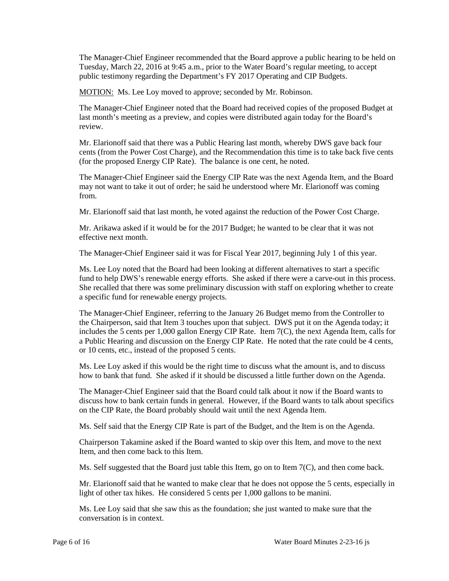The Manager-Chief Engineer recommended that the Board approve a public hearing to be held on Tuesday, March 22, 2016 at 9:45 a.m., prior to the Water Board's regular meeting, to accept public testimony regarding the Department's FY 2017 Operating and CIP Budgets.

MOTION: Ms. Lee Loy moved to approve; seconded by Mr. Robinson.

 The Manager-Chief Engineer noted that the Board had received copies of the proposed Budget at last month's meeting as a preview, and copies were distributed again today for the Board's review.

 (for the proposed Energy CIP Rate). The balance is one cent, he noted. Mr. Elarionoff said that there was a Public Hearing last month, whereby DWS gave back four cents (from the Power Cost Charge), and the Recommendation this time is to take back five cents

 may not want to take it out of order; he said he understood where Mr. Elarionoff was coming The Manager-Chief Engineer said the Energy CIP Rate was the next Agenda Item, and the Board from.

Mr. Elarionoff said that last month, he voted against the reduction of the Power Cost Charge.

 Mr. Arikawa asked if it would be for the 2017 Budget; he wanted to be clear that it was not effective next month.

The Manager-Chief Engineer said it was for Fiscal Year 2017, beginning July 1 of this year.

Ms. Lee Loy noted that the Board had been looking at different alternatives to start a specific fund to help DWS's renewable energy efforts. She asked if there were a carve-out in this process. She recalled that there was some preliminary discussion with staff on exploring whether to create a specific fund for renewable energy projects.

 the Chairperson, said that Item 3 touches upon that subject. DWS put it on the Agenda today; it The Manager-Chief Engineer, referring to the January 26 Budget memo from the Controller to includes the 5 cents per 1,000 gallon Energy CIP Rate. Item 7(C), the next Agenda Item, calls for a Public Hearing and discussion on the Energy CIP Rate. He noted that the rate could be 4 cents, or 10 cents, etc., instead of the proposed 5 cents.

 Ms. Lee Loy asked if this would be the right time to discuss what the amount is, and to discuss how to bank that fund. She asked if it should be discussed a little further down on the Agenda.

 The Manager-Chief Engineer said that the Board could talk about it now if the Board wants to discuss how to bank certain funds in general. However, if the Board wants to talk about specifics on the CIP Rate, the Board probably should wait until the next Agenda Item.

Ms. Self said that the Energy CIP Rate is part of the Budget, and the Item is on the Agenda.

Chairperson Takamine asked if the Board wanted to skip over this Item, and move to the next Item, and then come back to this Item.

Ms. Self suggested that the Board just table this Item, go on to Item  $7(C)$ , and then come back.

 Mr. Elarionoff said that he wanted to make clear that he does not oppose the 5 cents, especially in light of other tax hikes. He considered 5 cents per 1,000 gallons to be manini.

Ms. Lee Loy said that she saw this as the foundation; she just wanted to make sure that the conversation is in context.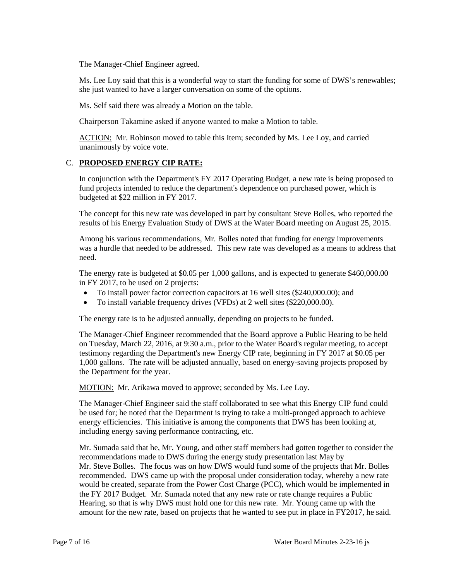The Manager-Chief Engineer agreed.

 Ms. Lee Loy said that this is a wonderful way to start the funding for some of DWS's renewables; she just wanted to have a larger conversation on some of the options.

Ms. Self said there was already a Motion on the table.

Chairperson Takamine asked if anyone wanted to make a Motion to table.

ACTION: Mr. Robinson moved to table this Item; seconded by Ms. Lee Loy, and carried unanimously by voice vote.

# C. **PROPOSED ENERGY CIP RATE:**

 budgeted at \$22 million in FY 2017. In conjunction with the Department's FY 2017 Operating Budget, a new rate is being proposed to fund projects intended to reduce the department's dependence on purchased power, which is

 results of his Energy Evaluation Study of DWS at the Water Board meeting on August 25, 2015. The concept for this new rate was developed in part by consultant Steve Bolles, who reported the

 was a hurdle that needed to be addressed. This new rate was developed as a means to address that Among his various recommendations, Mr. Bolles noted that funding for energy improvements need.

 The energy rate is budgeted at \$0.05 per 1,000 gallons, and is expected to generate \$460,000.00 in FY 2017, to be used on 2 projects:

- To install power factor correction capacitors at 16 well sites (\$240,000.00); and
- To install variable frequency drives (VFDs) at 2 well sites (\$220,000.00).

The energy rate is to be adjusted annually, depending on projects to be funded.

 The Manager-Chief Engineer recommended that the Board approve a Public Hearing to be held 1,000 gallons. The rate will be adjusted annually, based on energy-saving projects proposed by on Tuesday, March 22, 2016, at 9:30 a.m., prior to the Water Board's regular meeting, to accept testimony regarding the Department's new Energy CIP rate, beginning in FY 2017 at \$0.05 per the Department for the year.

MOTION: Mr. Arikawa moved to approve; seconded by Ms. Lee Loy.

 energy efficiencies. This initiative is among the components that DWS has been looking at, The Manager-Chief Engineer said the staff collaborated to see what this Energy CIP fund could be used for; he noted that the Department is trying to take a multi-pronged approach to achieve including energy saving performance contracting, etc.

 Mr. Sumada said that he, Mr. Young, and other staff members had gotten together to consider the recommendations made to DWS during the energy study presentation last May by Mr. Steve Bolles. The focus was on how DWS would fund some of the projects that Mr. Bolles amount for the new rate, based on projects that he wanted to see put in place in FY2017, he said. recommended. DWS came up with the proposal under consideration today, whereby a new rate would be created, separate from the Power Cost Charge (PCC), which would be implemented in the FY 2017 Budget. Mr. Sumada noted that any new rate or rate change requires a Public Hearing, so that is why DWS must hold one for this new rate. Mr. Young came up with the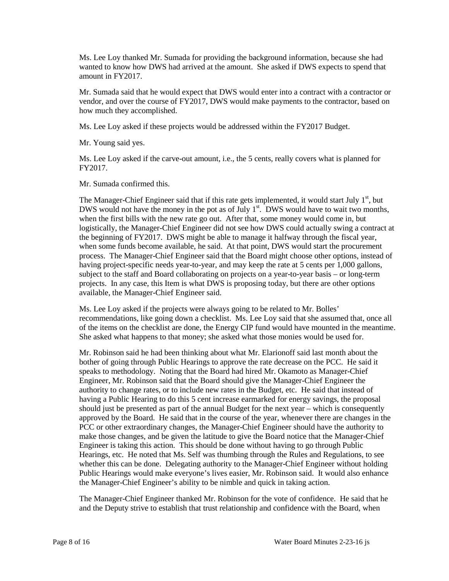wanted to know how DWS had arrived at the amount. She asked if DWS expects to spend that Ms. Lee Loy thanked Mr. Sumada for providing the background information, because she had amount in FY2017.

Mr. Sumada said that he would expect that DWS would enter into a contract with a contractor or vendor, and over the course of FY2017, DWS would make payments to the contractor, based on how much they accomplished.

Ms. Lee Loy asked if these projects would be addressed within the FY2017 Budget.

Mr. Young said yes.

Ms. Lee Loy asked if the carve-out amount, i.e., the 5 cents, really covers what is planned for FY2017.

Mr. Sumada confirmed this.

The Manager-Chief Engineer said that if this rate gets implemented, it would start July 1<sup>st</sup>, but DWS would not have the money in the pot as of July  $1<sup>st</sup>$ . DWS would have to wait two months, when the first bills with the new rate go out. After that, some money would come in, but logistically, the Manager-Chief Engineer did not see how DWS could actually swing a contract at process. The Manager-Chief Engineer said that the Board might choose other options, instead of projects. In any case, this Item is what DWS is proposing today, but there are other options the beginning of FY2017. DWS might be able to manage it halfway through the fiscal year, when some funds become available, he said. At that point, DWS would start the procurement having project-specific needs year-to-year, and may keep the rate at 5 cents per 1,000 gallons, subject to the staff and Board collaborating on projects on a year-to-year basis – or long-term available, the Manager-Chief Engineer said.

 Ms. Lee Loy asked if the projects were always going to be related to Mr. Bolles' recommendations, like going down a checklist. Ms. Lee Loy said that she assumed that, once all She asked what happens to that money; she asked what those monies would be used for. of the items on the checklist are done, the Energy CIP fund would have mounted in the meantime.

 Mr. Robinson said he had been thinking about what Mr. Elarionoff said last month about the bother of going through Public Hearings to approve the rate decrease on the PCC. He said it speaks to methodology. Noting that the Board had hired Mr. Okamoto as Manager-Chief authority to change rates, or to include new rates in the Budget, etc. He said that instead of having a Public Hearing to do this 5 cent increase earmarked for energy savings, the proposal should just be presented as part of the annual Budget for the next year – which is consequently approved by the Board. He said that in the course of the year, whenever there are changes in the make those changes, and be given the latitude to give the Board notice that the Manager-Chief Engineer is taking this action. This should be done without having to go through Public whether this can be done. Delegating authority to the Manager-Chief Engineer without holding Engineer, Mr. Robinson said that the Board should give the Manager-Chief Engineer the PCC or other extraordinary changes, the Manager-Chief Engineer should have the authority to Hearings, etc. He noted that Ms. Self was thumbing through the Rules and Regulations, to see Public Hearings would make everyone's lives easier, Mr. Robinson said. It would also enhance the Manager-Chief Engineer's ability to be nimble and quick in taking action.

 The Manager-Chief Engineer thanked Mr. Robinson for the vote of confidence. He said that he and the Deputy strive to establish that trust relationship and confidence with the Board, when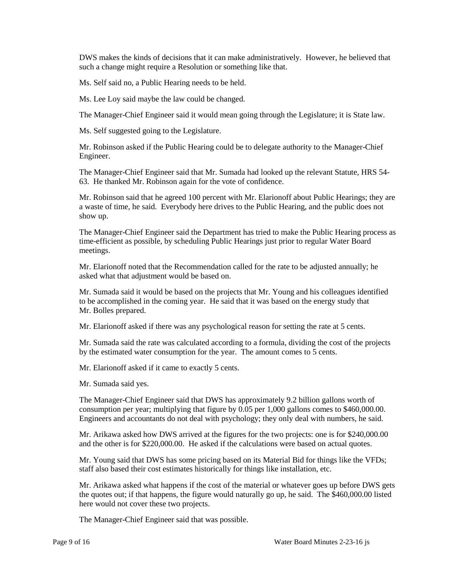DWS makes the kinds of decisions that it can make administratively. However, he believed that such a change might require a Resolution or something like that.

Ms. Self said no, a Public Hearing needs to be held.

Ms. Lee Loy said maybe the law could be changed.

The Manager-Chief Engineer said it would mean going through the Legislature; it is State law.

Ms. Self suggested going to the Legislature.

 Mr. Robinson asked if the Public Hearing could be to delegate authority to the Manager-Chief Engineer.

 63. He thanked Mr. Robinson again for the vote of confidence. The Manager-Chief Engineer said that Mr. Sumada had looked up the relevant Statute, HRS 54

 Mr. Robinson said that he agreed 100 percent with Mr. Elarionoff about Public Hearings; they are a waste of time, he said. Everybody here drives to the Public Hearing, and the public does not show up.

 time-efficient as possible, by scheduling Public Hearings just prior to regular Water Board The Manager-Chief Engineer said the Department has tried to make the Public Hearing process as meetings.

 asked what that adjustment would be based on. Mr. Elarionoff noted that the Recommendation called for the rate to be adjusted annually; he

 Mr. Sumada said it would be based on the projects that Mr. Young and his colleagues identified to be accomplished in the coming year. He said that it was based on the energy study that Mr. Bolles prepared.

Mr. Bolles prepared.<br>Mr. Elarionoff asked if there was any psychological reason for setting the rate at 5 cents.

Mr. Sumada said the rate was calculated according to a formula, dividing the cost of the projects by the estimated water consumption for the year. The amount comes to 5 cents.

Mr. Elarionoff asked if it came to exactly 5 cents.

Mr. Sumada said yes.

The Manager-Chief Engineer said that DWS has approximately 9.2 billion gallons worth of consumption per year; multiplying that figure by 0.05 per 1,000 gallons comes to \$460,000.00. Engineers and accountants do not deal with psychology; they only deal with numbers, he said.

 Mr. Arikawa asked how DWS arrived at the figures for the two projects: one is for \$240,000.00 and the other is for \$220,000.00. He asked if the calculations were based on actual quotes.

 Mr. Young said that DWS has some pricing based on its Material Bid for things like the VFDs; staff also based their cost estimates historically for things like installation, etc.

 the quotes out; if that happens, the figure would naturally go up, he said. The \$460,000.00 listed Mr. Arikawa asked what happens if the cost of the material or whatever goes up before DWS gets here would not cover these two projects.

The Manager-Chief Engineer said that was possible.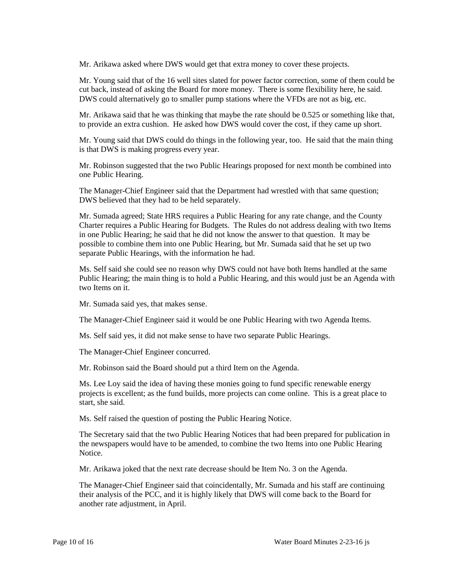Mr. Arikawa asked where DWS would get that extra money to cover these projects.

 Mr. Young said that of the 16 well sites slated for power factor correction, some of them could be cut back, instead of asking the Board for more money. There is some flexibility here, he said. DWS could alternatively go to smaller pump stations where the VFDs are not as big, etc.

 Mr. Arikawa said that he was thinking that maybe the rate should be 0.525 or something like that, to provide an extra cushion. He asked how DWS would cover the cost, if they came up short.

Mr. Young said that DWS could do things in the following year, too. He said that the main thing is that DWS is making progress every year.

Mr. Robinson suggested that the two Public Hearings proposed for next month be combined into one Public Hearing.

The Manager-Chief Engineer said that the Department had wrestled with that same question; DWS believed that they had to be held separately.

Mr. Sumada agreed; State HRS requires a Public Hearing for any rate change, and the County Charter requires a Public Hearing for Budgets. The Rules do not address dealing with two Items in one Public Hearing; he said that he did not know the answer to that question. It may be possible to combine them into one Public Hearing, but Mr. Sumada said that he set up two separate Public Hearings, with the information he had.

Ms. Self said she could see no reason why DWS could not have both Items handled at the same Public Hearing; the main thing is to hold a Public Hearing, and this would just be an Agenda with two Items on it.

Mr. Sumada said yes, that makes sense.

The Manager-Chief Engineer said it would be one Public Hearing with two Agenda Items.

Ms. Self said yes, it did not make sense to have two separate Public Hearings.

The Manager-Chief Engineer concurred.

Mr. Robinson said the Board should put a third Item on the Agenda.

 projects is excellent; as the fund builds, more projects can come online. This is a great place to Ms. Lee Loy said the idea of having these monies going to fund specific renewable energy start, she said.

Ms. Self raised the question of posting the Public Hearing Notice.

The Secretary said that the two Public Hearing Notices that had been prepared for publication in the newspapers would have to be amended, to combine the two Items into one Public Hearing Notice.

Mr. Arikawa joked that the next rate decrease should be Item No. 3 on the Agenda.

 their analysis of the PCC, and it is highly likely that DWS will come back to the Board for The Manager-Chief Engineer said that coincidentally, Mr. Sumada and his staff are continuing another rate adjustment, in April.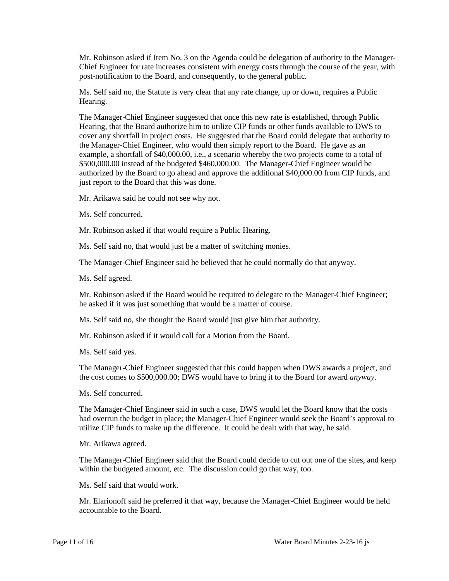post-notification to the Board, and consequently, to the general public. Mr. Robinson asked if Item No. 3 on the Agenda could be delegation of authority to the Manager-Chief Engineer for rate increases consistent with energy costs through the course of the year, with

 Ms. Self said no, the Statute is very clear that any rate change, up or down, requires a Public Hearing.

 Hearing, that the Board authorize him to utilize CIP funds or other funds available to DWS to example, a shortfall of \$40,000.00, i.e., a scenario whereby the two projects come to a total of \$500,000.00 instead of the budgeted \$460,000.00. The Manager-Chief Engineer would be The Manager-Chief Engineer suggested that once this new rate is established, through Public cover any shortfall in project costs. He suggested that the Board could delegate that authority to the Manager-Chief Engineer, who would then simply report to the Board. He gave as an authorized by the Board to go ahead and approve the additional \$40,000.00 from CIP funds, and just report to the Board that this was done.

Mr. Arikawa said he could not see why not.

Ms. Self concurred.

Mr. Robinson asked if that would require a Public Hearing.

Ms. Self said no, that would just be a matter of switching monies.

The Manager-Chief Engineer said he believed that he could normally do that anyway.

Ms. Self agreed.

 Mr. Robinson asked if the Board would be required to delegate to the Manager-Chief Engineer; he asked if it was just something that would be a matter of course.

Ms. Self said no, she thought the Board would just give him that authority.

Mr. Robinson asked if it would call for a Motion from the Board.

Ms. Self said yes.

 The Manager-Chief Engineer suggested that this could happen when DWS awards a project, and the cost comes to \$500,000.00; DWS would have to bring it to the Board for award *anyway*.

Ms. Self concurred.

The Manager-Chief Engineer said in such a case, DWS would let the Board know that the costs had overrun the budget in place; the Manager-Chief Engineer would seek the Board's approval to utilize CIP funds to make up the difference. It could be dealt with that way, he said.

Mr. Arikawa agreed.

 The Manager-Chief Engineer said that the Board could decide to cut out one of the sites, and keep within the budgeted amount, etc. The discussion could go that way, too.

Ms. Self said that would work.

Mr. Elarionoff said he preferred it that way, because the Manager-Chief Engineer would be held accountable to the Board.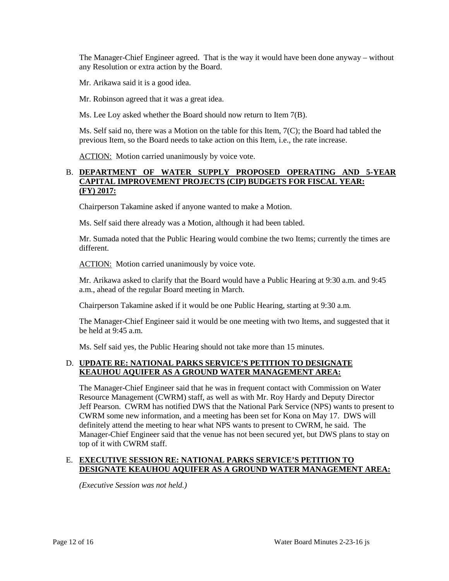The Manager-Chief Engineer agreed. That is the way it would have been done anyway – without any Resolution or extra action by the Board.

Mr. Arikawa said it is a good idea.

Mr. Robinson agreed that it was a great idea.

Ms. Lee Loy asked whether the Board should now return to Item 7(B).

 Ms. Self said no, there was a Motion on the table for this Item, 7(C); the Board had tabled the previous Item, so the Board needs to take action on this Item, i.e., the rate increase.

ACTION: Motion carried unanimously by voice vote.

### B. **DEPARTMENT OF WATER SUPPLY PROPOSED OPERATING AND 5-YEAR CAPITAL IMPROVEMENT PROJECTS (CIP) BUDGETS FOR FISCAL YEAR: (FY) 2017:**

Chairperson Takamine asked if anyone wanted to make a Motion.

Ms. Self said there already was a Motion, although it had been tabled.

 Mr. Sumada noted that the Public Hearing would combine the two Items; currently the times are different.

ACTION: Motion carried unanimously by voice vote.

 a.m., ahead of the regular Board meeting in March. Mr. Arikawa asked to clarify that the Board would have a Public Hearing at 9:30 a.m. and 9:45

Chairperson Takamine asked if it would be one Public Hearing, starting at 9:30 a.m.

The Manager-Chief Engineer said it would be one meeting with two Items, and suggested that it be held at 9:45 a.m.

Ms. Self said yes, the Public Hearing should not take more than 15 minutes.

### D. **UPDATE RE: NATIONAL PARKS SERVICE'S PETITION TO DESIGNATE KEAUHOU AQUIFER AS A GROUND WATER MANAGEMENT AREA:**

 Jeff Pearson. CWRM has notified DWS that the National Park Service (NPS) wants to present to Manager-Chief Engineer said that the venue has not been secured yet, but DWS plans to stay on The Manager-Chief Engineer said that he was in frequent contact with Commission on Water Resource Management (CWRM) staff, as well as with Mr. Roy Hardy and Deputy Director CWRM some new information, and a meeting has been set for Kona on May 17. DWS will definitely attend the meeting to hear what NPS wants to present to CWRM, he said. The top of it with CWRM staff.

### E. **EXECUTIVE SESSION RE: NATIONAL PARKS SERVICE'S PETITION TO DESIGNATE KEAUHOU AQUIFER AS A GROUND WATER MANAGEMENT AREA:**

*(Executive Session was not held.)*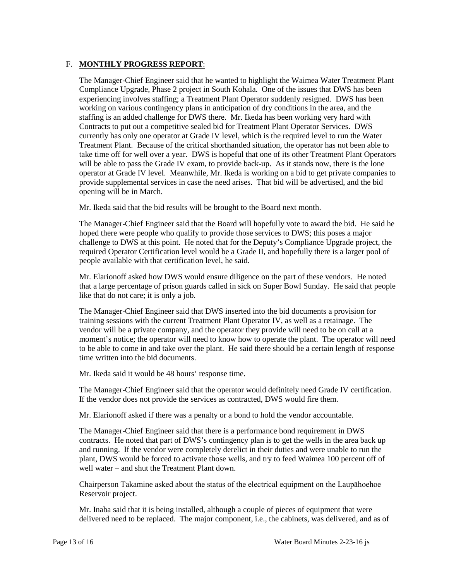# F. **MONTHLY PROGRESS REPORT**:

 Compliance Upgrade, Phase 2 project in South Kohala. One of the issues that DWS has been staffing is an added challenge for DWS there. Mr. Ikeda has been working very hard with Contracts to put out a competitive sealed bid for Treatment Plant Operator Services. DWS Treatment Plant. Because of the critical shorthanded situation, the operator has not been able to take time off for well over a year. DWS is hopeful that one of its other Treatment Plant Operators provide supplemental services in case the need arises. That bid will be advertised, and the bid The Manager-Chief Engineer said that he wanted to highlight the Waimea Water Treatment Plant experiencing involves staffing; a Treatment Plant Operator suddenly resigned. DWS has been working on various contingency plans in anticipation of dry conditions in the area, and the currently has only one operator at Grade IV level, which is the required level to run the Water will be able to pass the Grade IV exam, to provide back-up. As it stands now, there is the lone operator at Grade IV level. Meanwhile, Mr. Ikeda is working on a bid to get private companies to opening will be in March.

Mr. Ikeda said that the bid results will be brought to the Board next month.

 challenge to DWS at this point. He noted that for the Deputy's Compliance Upgrade project, the The Manager-Chief Engineer said that the Board will hopefully vote to award the bid. He said he hoped there were people who qualify to provide those services to DWS; this poses a major required Operator Certification level would be a Grade II, and hopefully there is a larger pool of people available with that certification level, he said.

 Mr. Elarionoff asked how DWS would ensure diligence on the part of these vendors. He noted that a large percentage of prison guards called in sick on Super Bowl Sunday. He said that people like that do not care; it is only a job.

 vendor will be a private company, and the operator they provide will need to be on call at a moment's notice; the operator will need to know how to operate the plant. The operator will need The Manager-Chief Engineer said that DWS inserted into the bid documents a provision for training sessions with the current Treatment Plant Operator IV, as well as a retainage. The to be able to come in and take over the plant. He said there should be a certain length of response time written into the bid documents.

Mr. Ikeda said it would be 48 hours' response time.

The Manager-Chief Engineer said that the operator would definitely need Grade IV certification. If the vendor does not provide the services as contracted, DWS would fire them.

Mr. Elarionoff asked if there was a penalty or a bond to hold the vendor accountable.

 plant, DWS would be forced to activate those wells, and try to feed Waimea 100 percent off of well water – and shut the Treatment Plant down. The Manager-Chief Engineer said that there is a performance bond requirement in DWS contracts. He noted that part of DWS's contingency plan is to get the wells in the area back up and running. If the vendor were completely derelict in their duties and were unable to run the

Chairperson Takamine asked about the status of the electrical equipment on the Laupāhoehoe Reservoir project.

Mr. Inaba said that it is being installed, although a couple of pieces of equipment that were delivered need to be replaced. The major component, i.e., the cabinets, was delivered, and as of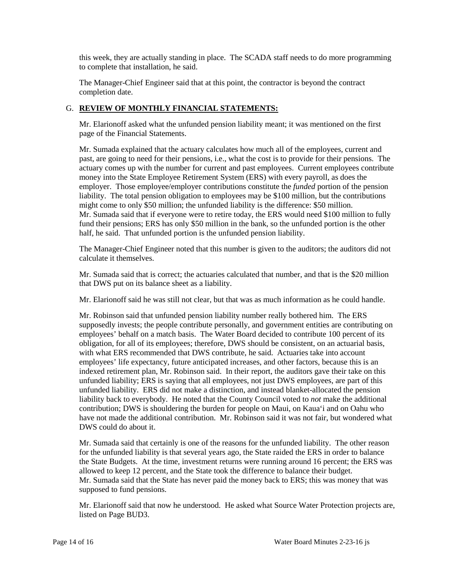this week, they are actually standing in place. The SCADA staff needs to do more programming to complete that installation, he said.

The Manager-Chief Engineer said that at this point, the contractor is beyond the contract completion date.

# G. **REVIEW OF MONTHLY FINANCIAL STATEMENTS:**

 Mr. Elarionoff asked what the unfunded pension liability meant; it was mentioned on the first page of the Financial Statements.

 Mr. Sumada explained that the actuary calculates how much all of the employees, current and past, are going to need for their pensions, i.e., what the cost is to provide for their pensions. The actuary comes up with the number for current and past employees. Current employees contribute employer. Those employee/employer contributions constitute the *funded* portion of the pension liability. The total pension obligation to employees may be \$100 million, but the contributions fund their pensions; ERS has only \$50 million in the bank, so the unfunded portion is the other money into the State Employee Retirement System (ERS) with every payroll, as does the might come to only \$50 million; the unfunded liability is the difference: \$50 million. Mr. Sumada said that if everyone were to retire today, the ERS would need \$100 million to fully half, he said. That unfunded portion is the unfunded pension liability.

 The Manager-Chief Engineer noted that this number is given to the auditors; the auditors did not calculate it themselves.

 Mr. Sumada said that is correct; the actuaries calculated that number, and that is the \$20 million that DWS put on its balance sheet as a liability.

Mr. Elarionoff said he was still not clear, but that was as much information as he could handle.

 employees' behalf on a match basis. The Water Board decided to contribute 100 percent of its with what ERS recommended that DWS contribute, he said. Actuaries take into account liability back to everybody. He noted that the County Council voted to *not* make the additional Mr. Robinson said that unfunded pension liability number really bothered him. The ERS supposedly invests; the people contribute personally, and government entities are contributing on obligation, for all of its employees; therefore, DWS should be consistent, on an actuarial basis, employees' life expectancy, future anticipated increases, and other factors, because this is an indexed retirement plan, Mr. Robinson said. In their report, the auditors gave their take on this unfunded liability; ERS is saying that all employees, not just DWS employees, are part of this unfunded liability. ERS did not make a distinction, and instead blanket-allocated the pension contribution; DWS is shouldering the burden for people on Maui, on Kaua'i and on Oahu who have not made the additional contribution. Mr. Robinson said it was not fair, but wondered what DWS could do about it.

 Mr. Sumada said that certainly is one of the reasons for the unfunded liability. The other reason supposed to fund pensions. for the unfunded liability is that several years ago, the State raided the ERS in order to balance the State Budgets. At the time, investment returns were running around 16 percent; the ERS was allowed to keep 12 percent, and the State took the difference to balance their budget. Mr. Sumada said that the State has never paid the money back to ERS; this was money that was

Mr. Elarionoff said that now he understood. He asked what Source Water Protection projects are, listed on Page BUD3.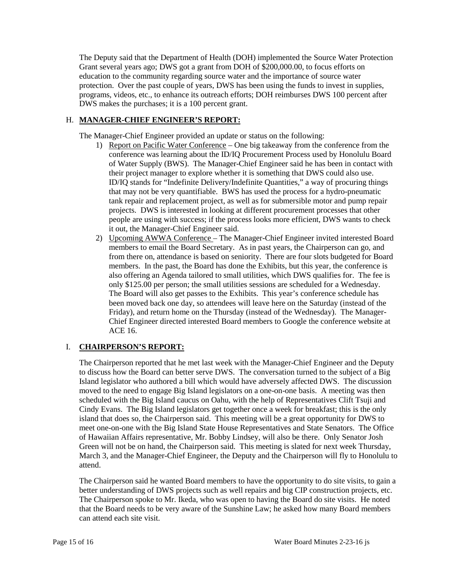protection. Over the past couple of years, DWS has been using the funds to invest in supplies, programs, videos, etc., to enhance its outreach efforts; DOH reimburses DWS 100 percent after The Deputy said that the Department of Health (DOH) implemented the Source Water Protection Grant several years ago; DWS got a grant from DOH of \$200,000.00, to focus efforts on education to the community regarding source water and the importance of source water DWS makes the purchases; it is a 100 percent grant.

# H. **MANAGER-CHIEF ENGINEER'S REPORT:**

The Manager-Chief Engineer provided an update or status on the following:

- their project manager to explore whether it is something that DWS could also use. people are using with success; if the process looks more efficient, DWS wants to check 1) Report on Pacific Water Conference – One big takeaway from the conference from the conference was learning about the ID/IQ Procurement Process used by Honolulu Board of Water Supply (BWS). The Manager-Chief Engineer said he has been in contact with ID/IQ stands for "Indefinite Delivery/Indefinite Quantities," a way of procuring things that may not be very quantifiable. BWS has used the process for a hydro-pneumatic tank repair and replacement project, as well as for submersible motor and pump repair projects. DWS is interested in looking at different procurement processes that other it out, the Manager-Chief Engineer said.
- from there on, attendance is based on seniority. There are four slots budgeted for Board members. In the past, the Board has done the Exhibits, but this year, the conference is also offering an Agenda tailored to small utilities, which DWS qualifies for. The fee is only \$125.00 per person; the small utilities sessions are scheduled for a Wednesday. only \$125.00 per person; the small utilities sessions are scheduled for a Wednesday. The Board will also get passes to the Exhibits. This year's conference schedule has 2) Upcoming AWWA Conference - The Manager-Chief Engineer invited interested Board members to email the Board Secretary. As in past years, the Chairperson can go, and been moved back one day, so attendees will leave here on the Saturday (instead of the Friday), and return home on the Thursday (instead of the Wednesday). The Manager-Chief Engineer directed interested Board members to Google the conference website at ACE 16.

# I. **CHAIRPERSON'S REPORT:**

 to discuss how the Board can better serve DWS. The conversation turned to the subject of a Big Island legislator who authored a bill which would have adversely affected DWS. The discussion scheduled with the Big Island caucus on Oahu, with the help of Representatives Clift Tsuji and island that does so, the Chairperson said. This meeting will be a great opportunity for DWS to meet one-on-one with the Big Island State House Representatives and State Senators. The Office of Hawaiian Affairs representative, Mr. Bobby Lindsey, will also be there. Only Senator Josh The Chairperson reported that he met last week with the Manager-Chief Engineer and the Deputy moved to the need to engage Big Island legislators on a one-on-one basis. A meeting was then Cindy Evans. The Big Island legislators get together once a week for breakfast; this is the only Green will not be on hand, the Chairperson said. This meeting is slated for next week Thursday, March 3, and the Manager-Chief Engineer, the Deputy and the Chairperson will fly to Honolulu to attend.

 better understanding of DWS projects such as well repairs and big CIP construction projects, etc. The Chairperson said he wanted Board members to have the opportunity to do site visits, to gain a The Chairperson spoke to Mr. Ikeda, who was open to having the Board do site visits. He noted that the Board needs to be very aware of the Sunshine Law; he asked how many Board members can attend each site visit.